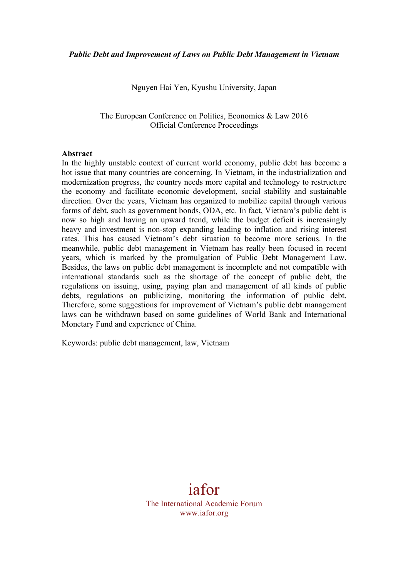Nguyen Hai Yen, Kyushu University, Japan

The European Conference on Politics, Economics & Law 2016 Official Conference Proceedings

#### **Abstract**

In the highly unstable context of current world economy, public debt has become a hot issue that many countries are concerning. In Vietnam, in the industrialization and modernization progress, the country needs more capital and technology to restructure the economy and facilitate economic development, social stability and sustainable direction. Over the years, Vietnam has organized to mobilize capital through various forms of debt, such as government bonds, ODA, etc. In fact, Vietnam's public debt is now so high and having an upward trend, while the budget deficit is increasingly heavy and investment is non-stop expanding leading to inflation and rising interest rates. This has caused Vietnam's debt situation to become more serious. In the meanwhile, public debt management in Vietnam has really been focused in recent years, which is marked by the promulgation of Public Debt Management Law. Besides, the laws on public debt management is incomplete and not compatible with international standards such as the shortage of the concept of public debt, the regulations on issuing, using, paying plan and management of all kinds of public debts, regulations on publicizing, monitoring the information of public debt. Therefore, some suggestions for improvement of Vietnam's public debt management laws can be withdrawn based on some guidelines of World Bank and International Monetary Fund and experience of China.

Keywords: public debt management, law, Vietnam

iafor The International Academic Forum www.iafor.org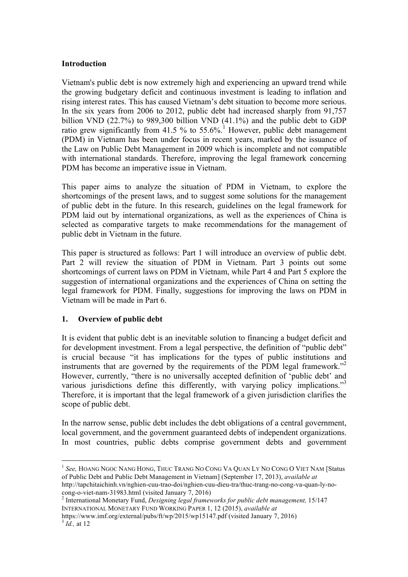#### **Introduction**

Vietnam's public debt is now extremely high and experiencing an upward trend while the growing budgetary deficit and continuous investment is leading to inflation and rising interest rates. This has caused Vietnam's debt situation to become more serious. In the six years from 2006 to 2012, public debt had increased sharply from 91,757 billion VND (22.7%) to 989,300 billion VND (41.1%) and the public debt to GDP ratio grew significantly from 41.5 % to 55.6%.<sup>1</sup> However, public debt management (PDM) in Vietnam has been under focus in recent years, marked by the issuance of the Law on Public Debt Management in 2009 which is incomplete and not compatible with international standards. Therefore, improving the legal framework concerning PDM has become an imperative issue in Vietnam.

This paper aims to analyze the situation of PDM in Vietnam, to explore the shortcomings of the present laws, and to suggest some solutions for the management of public debt in the future. In this research, guidelines on the legal framework for PDM laid out by international organizations, as well as the experiences of China is selected as comparative targets to make recommendations for the management of public debt in Vietnam in the future.

This paper is structured as follows: Part 1 will introduce an overview of public debt. Part 2 will review the situation of PDM in Vietnam. Part 3 points out some shortcomings of current laws on PDM in Vietnam, while Part 4 and Part 5 explore the suggestion of international organizations and the experiences of China on setting the legal framework for PDM. Finally, suggestions for improving the laws on PDM in Vietnam will be made in Part 6.

# **1. Overview of public debt**

It is evident that public debt is an inevitable solution to financing a budget deficit and for development investment. From a legal perspective, the definition of "public debt" is crucial because "it has implications for the types of public institutions and instruments that are governed by the requirements of the PDM legal framework."<sup>2</sup> However, currently, "there is no universally accepted definition of 'public debt' and various jurisdictions define this differently, with varying policy implications."<sup>3</sup> Therefore, it is important that the legal framework of a given jurisdiction clarifies the scope of public debt.

In the narrow sense, public debt includes the debt obligations of a central government, local government, and the government guaranteed debts of independent organizations. In most countries, public debts comprise government debts and government

 <sup>1</sup> *See,* HOANG NGOC NANG HONG, THUC TRANG NO CONG VA QUAN LY NO CONG O VIET NAM [Status of Public Debt and Public Debt Management in Vietnam] (September 17, 2013), *available at* http://tapchitaichinh.vn/nghien-cuu-trao-doi/nghien-cuu-dieu-tra/thuc-trang-no-cong-va-quan-ly-no-

cong-o-viet-nam-31983.html (visited January 7, 2016) <sup>2</sup> International Monetary Fund, *Designing legal frameworks for public debt management,* 15/147 INTERNATIONAL MONETARY FUND WORKING PAPER 1, 12 (2015), *available at*

https://www.imf.org/external/pubs/ft/wp/2015/wp15147.pdf (visited January 7, 2016) <sup>3</sup> *Id.,* at <sup>12</sup>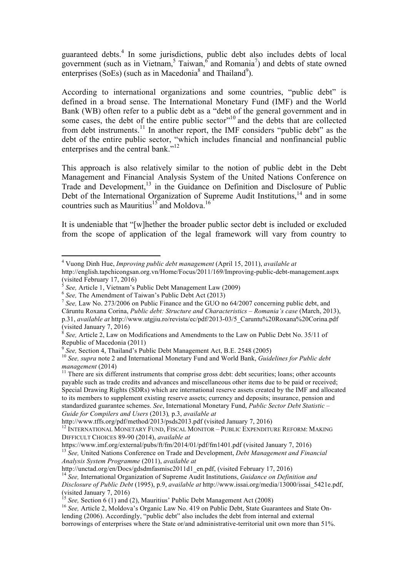guaranteed debts.<sup>4</sup> In some jurisdictions, public debt also includes debts of local government (such as in Vietnam,  $5$  Taiwan,  $6$  and Romania<sup>7</sup>) and debts of state owned enterprises (SoEs) (such as in Macedonia<sup>8</sup> and Thailand<sup>9</sup>).

According to international organizations and some countries, "public debt" is defined in a broad sense. The International Monetary Fund (IMF) and the World Bank (WB) often refer to a public debt as a "debt of the general government and in some cases, the debt of the entire public sector $^{10}$  and the debts that are collected from debt instruments.<sup>11</sup> In another report, the IMF considers "public debt" as the debt of the entire public sector, "which includes financial and nonfinancial public enterprises and the central bank."<sup>12</sup>

This approach is also relatively similar to the notion of public debt in the Debt Management and Financial Analysis System of the United Nations Conference on Trade and Development,<sup>13</sup> in the Guidance on Definition and Disclosure of Public Debt of the International Organization of Supreme Audit Institutions, $14$  and in some countries such as Mauritius<sup>15</sup> and Moldova.<sup>16</sup>

It is undeniable that "[w]hether the broader public sector debt is included or excluded from the scope of application of the legal framework will vary from country to

<sup>11</sup> There are six different instruments that comprise gross debt: debt securities; loans; other accounts payable such as trade credits and advances and miscellaneous other items due to be paid or received; Special Drawing Rights (SDRs) which are international reserve assets created by the IMF and allocated to its members to supplement existing reserve assets; currency and deposits; insurance, pension and standardized guarantee schemes. *See*, International Monetary Fund, *Public Sector Debt Statistic – Guide for Compilers and Users* (2013)*,* p.3, *available at*

https://www.imf.org/external/pubs/ft/fm/2014/01/pdf/fm1401.pdf (visited January 7, 2016) <sup>13</sup> *See,* United Nations Conference on Trade and Development, *Debt Management and Financial Analysis System Programme* (2011), *available at*

 <sup>4</sup> Vuong Dinh Hue, *Improving public debt management* (April 15, 2011), *available at*

http://english.tapchicongsan.org.vn/Home/Focus/2011/169/Improving-public-debt-management.aspx (visited February 17, 2016)<br>  $\frac{1}{5}$  See, Article 1, Vietnam's Public Debt Management Law (2009)

bee, Afflict 1, Victimir 3.1 done Deet Management Data (2013)<br>
<sup>6</sup> See, The Amendment of Taiwan's Public Debt Act (2013)<br>
<sup>7</sup> See, Law No. 273/2006 on Public Finance and the GUO no 64/2007 concerning public debt, and Căruntu Roxana Corina, *Public debt: Structure and Characteristics – Romania's case* (March, 2013), p.31, *available at* http://www.utgjiu.ro/revista/ec/pdf/2013-03/5\_Caruntu%20Roxana%20Corina.pdf (visited January 7, 2016)

<sup>8</sup> *See,* Article 2, Law on Modifications and Amendments to the Law on Public Debt No. 35/11 of Republic of Macedonia (2011)<br><sup>9</sup> See, Section 4, Thailand's Public Debt Management Act, B.E. 2548 (2005)

<sup>&</sup>lt;sup>10</sup> *See, supra* note 2 and International Monetary Fund and World Bank, *Guidelines for Public debt* management (2014)

<sup>&</sup>lt;sup>12</sup> INTERNATIONAL MONETARY FUND, FISCAL MONITOR – PUBLIC EXPENDITURE REFORM: MAKING DIFFICULT CHOICES 89-90 (2014), *available at*

<sup>&</sup>lt;sup>14</sup> See, International Organization of Supreme Audit Institutions, *Guidance on Definition and Disclosure of Public Debt* (1995), p.9, *available at* http://www.issai.org/media/13000/issai\_5421e.pdf, (visited January 7, 2016)<br>
<sup>15</sup> See, Section 6 (1) and (2), Mauritius' Public Debt Management Act (2008)

<sup>&</sup>lt;sup>16</sup> See, Article 2, Moldova's Organic Law No. 419 on Public Debt, State Guarantees and State Onlending (2006). Accordingly, "public debt" also includes the debt from internal and external borrowings of enterprises where the State or/and administrative-territorial unit own more than 51%.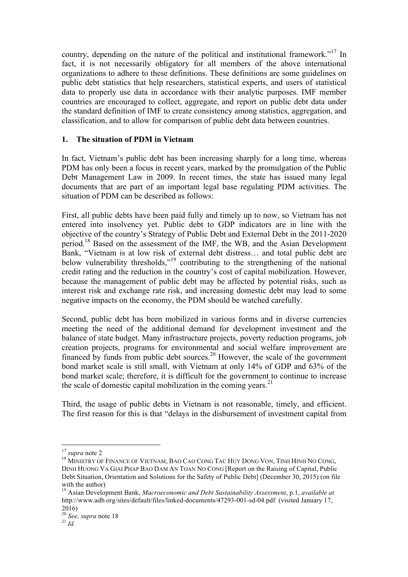country, depending on the nature of the political and institutional framework."<sup>17</sup> In fact, it is not necessarily obligatory for all members of the above international organizations to adhere to these definitions. These definitions are some guidelines on public debt statistics that help researchers, statistical experts, and users of statistical data to properly use data in accordance with their analytic purposes. IMF member countries are encouraged to collect, aggregate, and report on public debt data under the standard definition of IMF to create consistency among statistics, aggregation, and classification, and to allow for comparison of public debt data between countries.

# **1. The situation of PDM in Vietnam**

In fact, Vietnam's public debt has been increasing sharply for a long time, whereas PDM has only been a focus in recent years, marked by the promulgation of the Public Debt Management Law in 2009. In recent times, the state has issued many legal documents that are part of an important legal base regulating PDM activities. The situation of PDM can be described as follows:

First, all public debts have been paid fully and timely up to now, so Vietnam has not entered into insolvency yet. Public debt to GDP indicators are in line with the objective of the country's Strategy of Public Debt and External Debt in the 2011-2020 period.18 Based on the assessment of the IMF, the WB, and the Asian Development Bank, "Vietnam is at low risk of external debt distress… and total public debt are below vulnerability thresholds,"<sup>19</sup> contributing to the strengthening of the national credit rating and the reduction in the country's cost of capital mobilization. However, because the management of public debt may be affected by potential risks, such as interest risk and exchange rate risk, and increasing domestic debt may lead to some negative impacts on the economy, the PDM should be watched carefully.

Second, public debt has been mobilized in various forms and in diverse currencies meeting the need of the additional demand for development investment and the balance of state budget. Many infrastructure projects, poverty reduction programs, job creation projects, programs for environmental and social welfare improvement are financed by funds from public debt sources.20 However, the scale of the government bond market scale is still small, with Vietnam at only 14% of GDP and 63% of the bond market scale; therefore, it is difficult for the government to continue to increase the scale of domestic capital mobilization in the coming years.<sup>21</sup>

Third, the usage of public debts in Vietnam is not reasonable, timely, and efficient. The first reason for this is that "delays in the disbursement of investment capital from

<sup>&</sup>lt;sup>17</sup> *supra* note 2<br><sup>18</sup> MINISTRY OF FINANCE OF VIETNAM, BAO CAO CONG TAC HUY DONG VON, TINH HINH NO CONG, DINH HUONG VA GIAI PHAP BAO DAM AN TOAN NO CONG [Report on the Raising of Capital, Public Debt Situation, Orientation and Solutions for the Safety of Public Debt] (December 30, 2015) (on file with the author)

<sup>19</sup> Asian Development Bank, *Macroeconomic and Debt Sustainability Assessment*, p.1, *available at* http://www.adb.org/sites/default/files/linked-documents/47293-001-sd-04.pdf (visited January 17, 2016)

<sup>20</sup> *See, supra* note 18 <sup>21</sup> *Id.*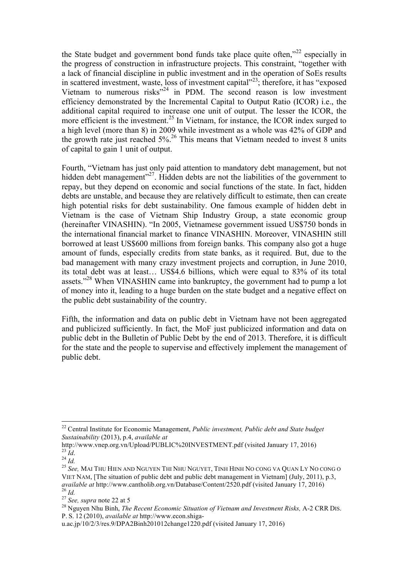the State budget and government bond funds take place quite often,"<sup>22</sup> especially in the progress of construction in infrastructure projects. This constraint, "together with a lack of financial discipline in public investment and in the operation of SoEs results in scattered investment, waste, loss of investment capital"23; therefore, it has "exposed Vietnam to numerous risks"<sup>24</sup> in PDM. The second reason is low investment efficiency demonstrated by the Incremental Capital to Output Ratio (ICOR) i.e., the additional capital required to increase one unit of output. The lesser the ICOR, the more efficient is the investment.<sup>25</sup> In Vietnam, for instance, the ICOR index surged to a high level (more than 8) in 2009 while investment as a whole was 42% of GDP and the growth rate just reached  $5\%$ .<sup>26</sup> This means that Vietnam needed to invest 8 units of capital to gain 1 unit of output.

Fourth, "Vietnam has just only paid attention to mandatory debt management, but not hidden debt management"<sup>27</sup>. Hidden debts are not the liabilities of the government to repay, but they depend on economic and social functions of the state. In fact, hidden debts are unstable, and because they are relatively difficult to estimate, then can create high potential risks for debt sustainability. One famous example of hidden debt in Vietnam is the case of Vietnam Ship Industry Group, a state economic group (hereinafter VINASHIN). "In 2005, Vietnamese government issued US\$750 bonds in the international financial market to finance VINASHIN. Moreover, VINASHIN still borrowed at least US\$600 millions from foreign banks. This company also got a huge amount of funds, especially credits from state banks, as it required. But, due to the bad management with many crazy investment projects and corruption, in June 2010, its total debt was at least… US\$4.6 billions, which were equal to 83% of its total assets."<sup>28</sup> When VINASHIN came into bankruptcy, the government had to pump a lot of money into it, leading to a huge burden on the state budget and a negative effect on the public debt sustainability of the country.

Fifth, the information and data on public debt in Vietnam have not been aggregated and publicized sufficiently. In fact, the MoF just publicized information and data on public debt in the Bulletin of Public Debt by the end of 2013. Therefore, it is difficult for the state and the people to supervise and effectively implement the management of public debt.

 <sup>22</sup> Central Institute for Economic Management, *Public investment, Public debt and State budget Sustainability* (2013), p.4, *available at*

http://www.vnep.org.vn/Upload/PUBLIC%20INVESTMENT.pdf (visited January 17, 2016)<br><sup>23</sup> *Id.* 24 *Id.* 25 *See*, MAI THU HIEN AND NGUYEN THI NHU NGUYET, TINH HINH NO CONG VA QUAN LY NO CONG O

VIET NAM, [The situation of public debt and public debt management in Vietnam] (July, 2011), p.3, *available at* http://www.cantholib.org.vn/Database/Content/2520.pdf (visited January 17, 2016) <sup>26</sup> *Id.*<br><sup>27</sup> *See, supra* note 22 at 5<br><sup>27</sup> *See, supra* note 22 at 5<br><sup>28</sup> Nguyen Nhu Binh, *The Recent Economic Situation of Vietnam and Investment Risks, A-2 CRR DIS.* 

P. S. 12 (2010), *available at* http://www.econ.shiga-

u.ac.jp/10/2/3/res.9/DPA2Binh201012change1220.pdf (visited January 17, 2016)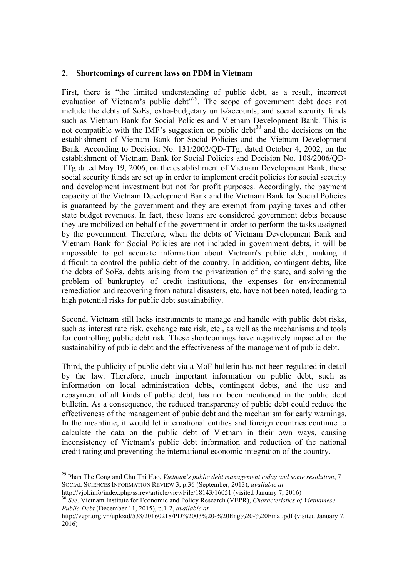#### **2. Shortcomings of current laws on PDM in Vietnam**

First, there is "the limited understanding of public debt, as a result, incorrect evaluation of Vietnam's public debt<sup>329</sup>. The scope of government debt does not include the debts of SoEs, extra-budgetary units/accounts, and social security funds such as Vietnam Bank for Social Policies and Vietnam Development Bank. This is not compatible with the IMF's suggestion on public debt<sup>30</sup> and the decisions on the establishment of Vietnam Bank for Social Policies and the Vietnam Development Bank. According to Decision No. 131/2002/QD-TTg, dated October 4, 2002, on the establishment of Vietnam Bank for Social Policies and Decision No. 108/2006/QD-TTg dated May 19, 2006, on the establishment of Vietnam Development Bank, these social security funds are set up in order to implement credit policies for social security and development investment but not for profit purposes. Accordingly, the payment capacity of the Vietnam Development Bank and the Vietnam Bank for Social Policies is guaranteed by the government and they are exempt from paying taxes and other state budget revenues. In fact, these loans are considered government debts because they are mobilized on behalf of the government in order to perform the tasks assigned by the government. Therefore, when the debts of Vietnam Development Bank and Vietnam Bank for Social Policies are not included in government debts, it will be impossible to get accurate information about Vietnam's public debt, making it difficult to control the public debt of the country. In addition, contingent debts, like the debts of SoEs, debts arising from the privatization of the state, and solving the problem of bankruptcy of credit institutions, the expenses for environmental remediation and recovering from natural disasters, etc. have not been noted, leading to high potential risks for public debt sustainability.

Second, Vietnam still lacks instruments to manage and handle with public debt risks, such as interest rate risk, exchange rate risk, etc., as well as the mechanisms and tools for controlling public debt risk. These shortcomings have negatively impacted on the sustainability of public debt and the effectiveness of the management of public debt.

Third, the publicity of public debt via a MoF bulletin has not been regulated in detail by the law. Therefore, much important information on public debt, such as information on local administration debts, contingent debts, and the use and repayment of all kinds of public debt, has not been mentioned in the public debt bulletin. As a consequence, the reduced transparency of public debt could reduce the effectiveness of the management of pubic debt and the mechanism for early warnings. In the meantime, it would let international entities and foreign countries continue to calculate the data on the public debt of Vietnam in their own ways, causing inconsistency of Vietnam's public debt information and reduction of the national credit rating and preventing the international economic integration of the country.

 <sup>29</sup> Phan The Cong and Chu Thi Hao, *Vietnam's public debt management today and some resolution*, 7 SOCIAL SCIENCES INFORMATION REVIEW 3, p.36 (September, 2013), *available at*

<sup>&</sup>lt;sup>30</sup> See, Vietnam Institute for Economic and Policy Research (VEPR), *Characteristics of Vietnamese Public Debt* (December 11, 2015), p.1-2, *available at*

http://vepr.org.vn/upload/533/20160218/PD%2003%20-%20Eng%20-%20Final.pdf (visited January 7, 2016)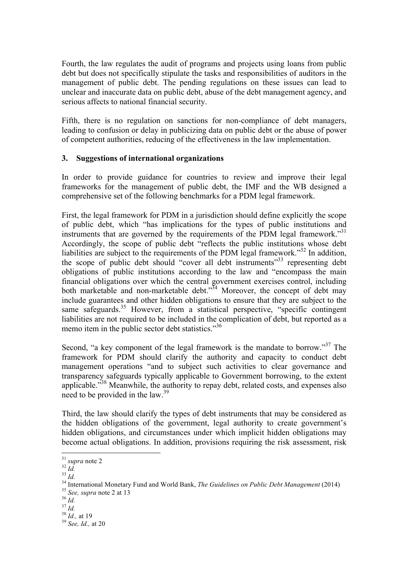Fourth, the law regulates the audit of programs and projects using loans from public debt but does not specifically stipulate the tasks and responsibilities of auditors in the management of public debt. The pending regulations on these issues can lead to unclear and inaccurate data on public debt, abuse of the debt management agency, and serious affects to national financial security.

Fifth, there is no regulation on sanctions for non-compliance of debt managers, leading to confusion or delay in publicizing data on public debt or the abuse of power of competent authorities, reducing of the effectiveness in the law implementation.

#### **3. Suggestions of international organizations**

In order to provide guidance for countries to review and improve their legal frameworks for the management of public debt, the IMF and the WB designed a comprehensive set of the following benchmarks for a PDM legal framework.

First, the legal framework for PDM in a jurisdiction should define explicitly the scope of public debt, which "has implications for the types of public institutions and instruments that are governed by the requirements of the PDM legal framework."<sup>31</sup> Accordingly, the scope of public debt "reflects the public institutions whose debt liabilities are subject to the requirements of the PDM legal framework."32 In addition, the scope of public debt should "cover all debt instruments"<sup>33</sup> representing debt obligations of public institutions according to the law and "encompass the main financial obligations over which the central government exercises control, including both marketable and non-marketable debt."<sup>34</sup> Moreover, the concept of debt may include guarantees and other hidden obligations to ensure that they are subject to the same safeguards.<sup>35</sup> However, from a statistical perspective, "specific contingent liabilities are not required to be included in the complication of debt, but reported as a memo item in the public sector debt statistics."<sup>36</sup>

Second, "a key component of the legal framework is the mandate to borrow."<sup>37</sup> The framework for PDM should clarify the authority and capacity to conduct debt management operations "and to subject such activities to clear governance and transparency safeguards typically applicable to Government borrowing, to the extent applicable."<sup>38</sup> Meanwhile, the authority to repay debt, related costs, and expenses also need to be provided in the law.<sup>39</sup>

Third, the law should clarify the types of debt instruments that may be considered as the hidden obligations of the government, legal authority to create government's hidden obligations, and circumstances under which implicit hidden obligations may become actual obligations. In addition, provisions requiring the risk assessment, risk

<sup>&</sup>lt;sup>31</sup> supra note 2<br>
<sup>32</sup> Id.<br>
<sup>33</sup> Id.<br>
<sup>34</sup> International Monetary Fund and World Bank, *The Guidelines on Public Debt Management* (2014)<br>
<sup>35</sup> *See, supra* note 2 at 13<br>
<sup>36</sup> Id.<br>
<sup>37</sup> Id.<br>
<sup>37</sup> Id.<br>
<sup>38</sup> Id., at 19<br>
<sup>39</sup>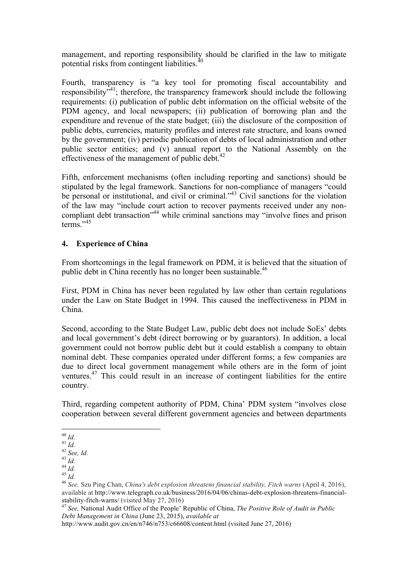management, and reporting responsibility should be clarified in the law to mitigate potential risks from contingent liabilities.<sup>40</sup>

Fourth, transparency is "a key tool for promoting fiscal accountability and responsibility<sup>341</sup>; therefore, the transparency framework should include the following requirements: (i) publication of public debt information on the official website of the PDM agency, and local newspapers; (ii) publication of borrowing plan and the expenditure and revenue of the state budget; (iii) the disclosure of the composition of public debts, currencies, maturity profiles and interest rate structure, and loans owned by the government; (iv) periodic publication of debts of local administration and other public sector entities; and (v) annual report to the National Assembly on the effectiveness of the management of public debt.<sup>42</sup>

Fifth, enforcement mechanisms (often including reporting and sanctions) should be stipulated by the legal framework. Sanctions for non-compliance of managers "could be personal or institutional, and civil or criminal."<sup>43</sup> Civil sanctions for the violation of the law may "include court action to recover payments received under any noncompliant debt transaction<sup>"44</sup> while criminal sanctions may "involve fines and prison"  $terms<sup>1</sup>$ <sup>,45</sup>

# **4. Experience of China**

From shortcomings in the legal framework on PDM, it is believed that the situation of public debt in China recently has no longer been sustainable.<sup>46</sup>

First, PDM in China has never been regulated by law other than certain regulations under the Law on State Budget in 1994. This caused the ineffectiveness in PDM in China.

Second, according to the State Budget Law, public debt does not include SoEs' debts and local government's debt (direct borrowing or by guarantors). In addition, a local government could not borrow public debt but it could establish a company to obtain nominal debt. These companies operated under different forms; a few companies are due to direct local government management while others are in the form of joint ventures.<sup>47</sup> This could result in an increase of contingent liabilities for the entire country.

Third, regarding competent authority of PDM, China' PDM system "involves close cooperation between several different government agencies and between departments

 <sup>40</sup> *Id.* <sup>41</sup> *Id.* <sup>42</sup> *See, Id.* <sup>43</sup> *Id.* <sup>44</sup> *Id.* <sup>45</sup> *Id.* <sup>46</sup> *See,* Szu Ping Chan, *China's debt explosion threatens financial stability, Fitch warns* (April 4, 2016), available at http://www.telegraph.co.uk/business/2016/04/06/chinas-debt-explosion-threatens-financialstability-fitch-warns/ (visited May 27, 2016) <sup>47</sup> *See,* National Audit Office of the People' Republic of China, *The Positive Role of Audit in Public* 

*Debt Management in China* (June 23, 2015), *available at*

http://www.audit.gov.cn/en/n746/n753/c66608/content.html (visited June 27, 2016)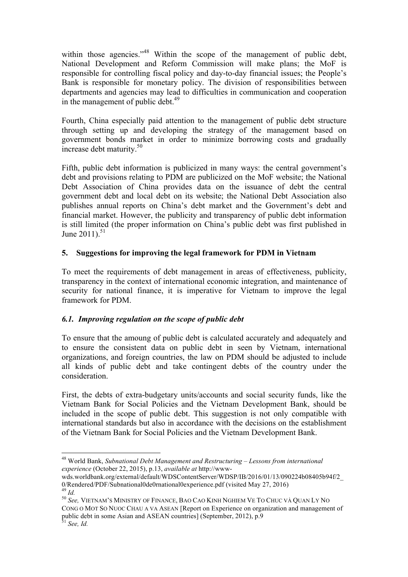within those agencies."<sup>48</sup> Within the scope of the management of public debt, National Development and Reform Commission will make plans; the MoF is responsible for controlling fiscal policy and day-to-day financial issues; the People's Bank is responsible for monetary policy. The division of responsibilities between departments and agencies may lead to difficulties in communication and cooperation in the management of public debt.<sup>49</sup>

Fourth, China especially paid attention to the management of public debt structure through setting up and developing the strategy of the management based on government bonds market in order to minimize borrowing costs and gradually increase debt maturity.<sup>50</sup>

Fifth, public debt information is publicized in many ways: the central government's debt and provisions relating to PDM are publicized on the MoF website; the National Debt Association of China provides data on the issuance of debt the central government debt and local debt on its website; the National Debt Association also publishes annual reports on China's debt market and the Government's debt and financial market. However, the publicity and transparency of public debt information is still limited (the proper information on China's public debt was first published in June  $2011$ ).<sup>51</sup>

# **5. Suggestions for improving the legal framework for PDM in Vietnam**

To meet the requirements of debt management in areas of effectiveness, publicity, transparency in the context of international economic integration, and maintenance of security for national finance, it is imperative for Vietnam to improve the legal framework for PDM.

# *6.1. Improving regulation on the scope of public debt*

To ensure that the amoung of public debt is calculated accurately and adequately and to ensure the consistent data on public debt in seen by Vietnam, international organizations, and foreign countries, the law on PDM should be adjusted to include all kinds of public debt and take contingent debts of the country under the consideration.

First, the debts of extra-budgetary units/accounts and social security funds, like the Vietnam Bank for Social Policies and the Vietnam Development Bank, should be included in the scope of public debt. This suggestion is not only compatible with international standards but also in accordance with the decisions on the establishment of the Vietnam Bank for Social Policies and the Vietnam Development Bank.

 <sup>48</sup> World Bank, *Subnational Debt Management and Restructuring – Lessons from international experience* (October 22, 2015), p.13, *available at* http://www-

wds.worldbank.org/external/default/WDSContentServer/WDSP/IB/2016/01/13/090224b08405b94f/2\_<br>0/Rendered/PDF/Subnational0de0rnational0experience.pdf (visited May 27, 2016)

<sup>0/</sup>Rendered Prisite Christianal Cornational<br><sup>49</sup> *Id.* 50 *See, VIETNAM'S MINISTRY OF FINANCE, BAO CAO KINH NGHIEM VE TO CHUC VÀ QUAN LY NO* CONG O MOT SO NUOC CHAU A VA ASEAN [Report on Experience on organization and management of public debt in some Asian and ASEAN countries] (September, 2012), p.9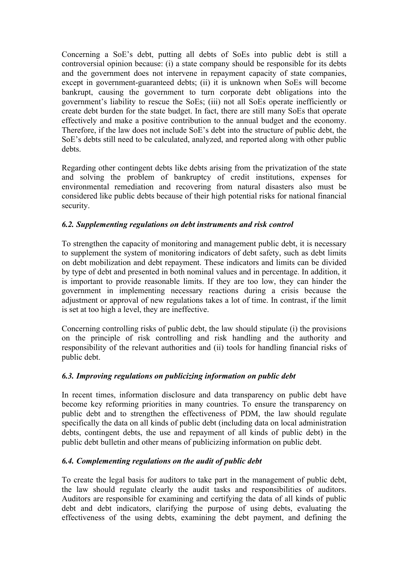Concerning a SoE's debt, putting all debts of SoEs into public debt is still a controversial opinion because: (i) a state company should be responsible for its debts and the government does not intervene in repayment capacity of state companies, except in government-guaranteed debts; (ii) it is unknown when SoEs will become bankrupt, causing the government to turn corporate debt obligations into the government's liability to rescue the SoEs; (iii) not all SoEs operate inefficiently or create debt burden for the state budget. In fact, there are still many SoEs that operate effectively and make a positive contribution to the annual budget and the economy. Therefore, if the law does not include SoE's debt into the structure of public debt, the SoE's debts still need to be calculated, analyzed, and reported along with other public debts.

Regarding other contingent debts like debts arising from the privatization of the state and solving the problem of bankruptcy of credit institutions, expenses for environmental remediation and recovering from natural disasters also must be considered like public debts because of their high potential risks for national financial security.

# *6.2. Supplementing regulations on debt instruments and risk control*

To strengthen the capacity of monitoring and management public debt, it is necessary to supplement the system of monitoring indicators of debt safety, such as debt limits on debt mobilization and debt repayment. These indicators and limits can be divided by type of debt and presented in both nominal values and in percentage. In addition, it is important to provide reasonable limits. If they are too low, they can hinder the government in implementing necessary reactions during a crisis because the adjustment or approval of new regulations takes a lot of time. In contrast, if the limit is set at too high a level, they are ineffective.

Concerning controlling risks of public debt, the law should stipulate (i) the provisions on the principle of risk controlling and risk handling and the authority and responsibility of the relevant authorities and (ii) tools for handling financial risks of public debt.

# *6.3. Improving regulations on publicizing information on public debt*

In recent times, information disclosure and data transparency on public debt have become key reforming priorities in many countries. To ensure the transparency on public debt and to strengthen the effectiveness of PDM, the law should regulate specifically the data on all kinds of public debt (including data on local administration debts, contingent debts, the use and repayment of all kinds of public debt) in the public debt bulletin and other means of publicizing information on public debt.

#### *6.4. Complementing regulations on the audit of public debt*

To create the legal basis for auditors to take part in the management of public debt, the law should regulate clearly the audit tasks and responsibilities of auditors. Auditors are responsible for examining and certifying the data of all kinds of public debt and debt indicators, clarifying the purpose of using debts, evaluating the effectiveness of the using debts, examining the debt payment, and defining the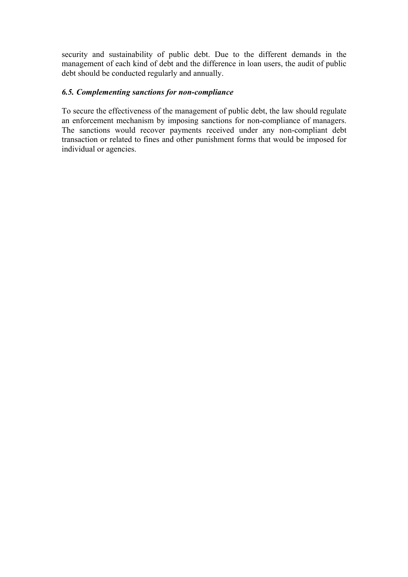security and sustainability of public debt. Due to the different demands in the management of each kind of debt and the difference in loan users, the audit of public debt should be conducted regularly and annually.

#### *6.5. Complementing sanctions for non-compliance*

To secure the effectiveness of the management of public debt, the law should regulate an enforcement mechanism by imposing sanctions for non-compliance of managers. The sanctions would recover payments received under any non-compliant debt transaction or related to fines and other punishment forms that would be imposed for individual or agencies.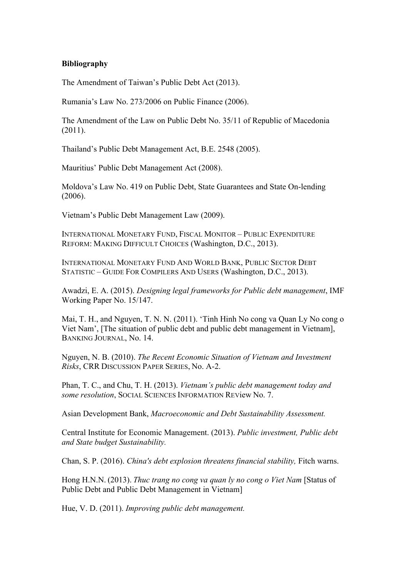#### **Bibliography**

The Amendment of Taiwan's Public Debt Act (2013).

Rumania's Law No. 273/2006 on Public Finance (2006).

The Amendment of the Law on Public Debt No. 35/11 of Republic of Macedonia (2011).

Thailand's Public Debt Management Act, B.E. 2548 (2005).

Mauritius' Public Debt Management Act (2008).

Moldova's Law No. 419 on Public Debt, State Guarantees and State On-lending (2006).

Vietnam's Public Debt Management Law (2009).

INTERNATIONAL MONETARY FUND, FISCAL MONITOR – PUBLIC EXPENDITURE REFORM: MAKING DIFFICULT CHOICES (Washington, D.C., 2013).

INTERNATIONAL MONETARY FUND AND WORLD BANK, PUBLIC SECTOR DEBT STATISTIC – GUIDE FOR COMPILERS AND USERS (Washington, D.C., 2013).

Awadzi, E. A. (2015). *Designing legal frameworks for Public debt management*, IMF Working Paper No. 15/147.

Mai, T. H., and Nguyen, T. N. N. (2011). 'Tinh Hinh No cong va Quan Ly No cong o Viet Nam', [The situation of public debt and public debt management in Vietnam], BANKING JOURNAL, No. 14.

Nguyen, N. B. (2010). *The Recent Economic Situation of Vietnam and Investment Risks*, CRR DISCUSSION PAPER SERIES, No. A-2.

Phan, T. C., and Chu, T. H. (2013). *Vietnam's public debt management today and some resolution*, SOCIAL SCIENCES INFORMATION REView No. 7.

Asian Development Bank, *Macroeconomic and Debt Sustainability Assessment.*

Central Institute for Economic Management. (2013). *Public investment, Public debt and State budget Sustainability.*

Chan, S. P. (2016). *China's debt explosion threatens financial stability,* Fitch warns.

Hong H.N.N. (2013). *Thuc trang no cong va quan ly no cong o Viet Nam* [Status of Public Debt and Public Debt Management in Vietnam]

Hue, V. D. (2011). *Improving public debt management.*